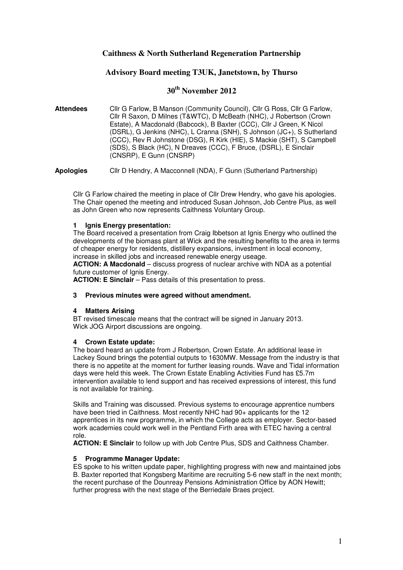## **Caithness & North Sutherland Regeneration Partnership**

## **Advisory Board meeting T3UK, Janetstown, by Thurso**

# **30th November 2012**

**Attendees** Cllr G Farlow, B Manson (Community Council), Cllr G Ross, Cllr G Farlow, Cllr R Saxon, D Milnes (T&WTC), D McBeath (NHC), J Robertson (Crown Estate), A Macdonald (Babcock), B Baxter (CCC), Cllr J Green, K Nicol (DSRL), G Jenkins (NHC), L Cranna (SNH), S Johnson (JC+), S Sutherland (CCC), Rev R Johnstone (DSG), R Kirk (HIE), S Mackie (SHT), S Campbell (SDS), S Black (HC), N Dreaves (CCC), F Bruce, (DSRL), E Sinclair (CNSRP), E Gunn (CNSRP)

**Apologies** Cllr D Hendry, A Macconnell (NDA), F Gunn (Sutherland Partnership)

Cllr G Farlow chaired the meeting in place of Cllr Drew Hendry, who gave his apologies. The Chair opened the meeting and introduced Susan Johnson, Job Centre Plus, as well as John Green who now represents Caithness Voluntary Group.

### **1 Ignis Energy presentation:**

The Board received a presentation from Craig Ibbetson at Ignis Energy who outlined the developments of the biomass plant at Wick and the resulting benefits to the area in terms of cheaper energy for residents, distillery expansions, investment in local economy, increase in skilled jobs and increased renewable energy useage.

**ACTION: A Macdonald** – discuss progress of nuclear archive with NDA as a potential future customer of Ignis Energy.

**ACTION: E Sinclair** – Pass details of this presentation to press.

#### **3 Previous minutes were agreed without amendment.**

#### **4 Matters Arising**

BT revised timescale means that the contract will be signed in January 2013. Wick JOG Airport discussions are ongoing.

## **4 Crown Estate update:**

The board heard an update from J Robertson, Crown Estate. An additional lease in Lackey Sound brings the potential outputs to 1630MW. Message from the industry is that there is no appetite at the moment for further leasing rounds. Wave and Tidal information days were held this week. The Crown Estate Enabling Activities Fund has £5.7m intervention available to lend support and has received expressions of interest, this fund is not available for training.

Skills and Training was discussed. Previous systems to encourage apprentice numbers have been tried in Caithness. Most recently NHC had 90+ applicants for the 12 apprentices in its new programme, in which the College acts as employer. Sector-based work academies could work well in the Pentland Firth area with ETEC having a central role.

**ACTION: E Sinclair** to follow up with Job Centre Plus, SDS and Caithness Chamber.

## **5 Programme Manager Update:**

ES spoke to his written update paper, highlighting progress with new and maintained jobs B. Baxter reported that Kongsberg Maritime are recruiting 5-6 new staff in the next month; the recent purchase of the Dounreay Pensions Administration Office by AON Hewitt; further progress with the next stage of the Berriedale Braes project.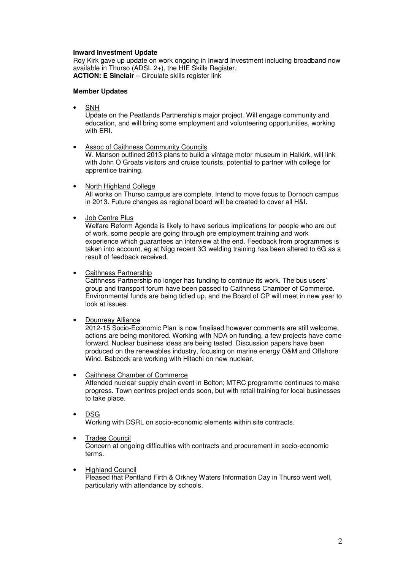## **Inward Investment Update**

Roy Kirk gave up update on work ongoing in Inward Investment including broadband now available in Thurso (ADSL 2+), the HIE Skills Register. **ACTION: E Sinclair** – Circulate skills register link

#### **Member Updates**

• SNH

Update on the Peatlands Partnership's major project. Will engage community and education, and will bring some employment and volunteering opportunities, working with ERI.

• Assoc of Caithness Community Councils

W. Manson outlined 2013 plans to build a vintage motor museum in Halkirk, will link with John O Groats visitors and cruise tourists, potential to partner with college for apprentice training.

• North Highland College

All works on Thurso campus are complete. Intend to move focus to Dornoch campus in 2013. Future changes as regional board will be created to cover all H&I.

• Job Centre Plus

Welfare Reform Agenda is likely to have serious implications for people who are out of work, some people are going through pre employment training and work experience which guarantees an interview at the end. Feedback from programmes is taken into account, eg at Nigg recent 3G welding training has been altered to 6G as a result of feedback received.

• Caithness Partnership

Caithness Partnership no longer has funding to continue its work. The bus users' group and transport forum have been passed to Caithness Chamber of Commerce. Environmental funds are being tidied up, and the Board of CP will meet in new year to look at issues.

• Dounreay Alliance

2012-15 Socio-Economic Plan is now finalised however comments are still welcome, actions are being monitored. Working with NDA on funding, a few projects have come forward. Nuclear business ideas are being tested. Discussion papers have been produced on the renewables industry, focusing on marine energy O&M and Offshore Wind. Babcock are working with Hitachi on new nuclear.

#### • Caithness Chamber of Commerce

 Attended nuclear supply chain event in Bolton; MTRC programme continues to make progress. Town centres project ends soon, but with retail training for local businesses to take place.

• DSG

Working with DSRL on socio-economic elements within site contracts.

• Trades Council

Concern at ongoing difficulties with contracts and procurement in socio-economic terms.

**Highland Council** 

Pleased that Pentland Firth & Orkney Waters Information Day in Thurso went well, particularly with attendance by schools.